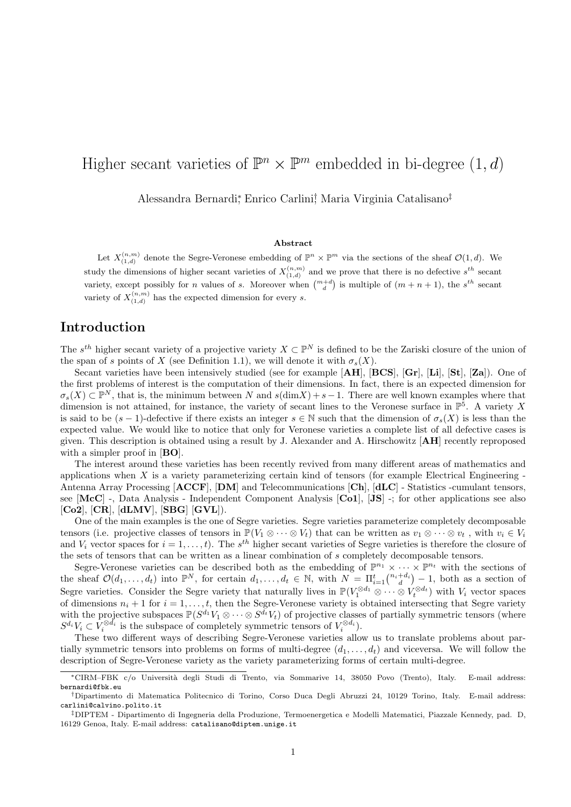# Higher secant varieties of  $\mathbb{P}^n \times \mathbb{P}^m$  embedded in bi-degree  $(1, d)$

Alessandra Bernardi<sup>∗</sup> , Enrico Carlini† , Maria Virginia Catalisano‡

#### Abstract

Let  $X_{(1,d)}^{(n,m)}$  denote the Segre-Veronese embedding of  $\mathbb{P}^n \times \mathbb{P}^m$  via the sections of the sheaf  $\mathcal{O}(1,d)$ . We  $(1,d)$ study the dimensions of higher secant varieties of  $X_{(1,d)}^{(n,m)}$  and we prove that there is no defective  $s^{th}$  secant variety, except possibly for *n* values of *s*. Moreover when  $\binom{m+d}{d}$  is multiple of  $(m+n+1)$ , the  $s^{th}$  secant variety of  $X_{(1,d)}^{(n,m)}$  has the expected dimension for every s.

#### Introduction

The  $s^{th}$  higher secant variety of a projective variety  $X \subset \mathbb{P}^N$  is defined to be the Zariski closure of the union of the span of s points of X (see Definition 1.1), we will denote it with  $\sigma_s(X)$ .

Secant varieties have been intensively studied (see for example  $[AH]$ ,  $[BCS]$ ,  $[Gr]$ ,  $[Li]$ ,  $[St]$ ,  $[Za]$ ). One of the first problems of interest is the computation of their dimensions. In fact, there is an expected dimension for  $\sigma_s(X) \subset \mathbb{P}^N$ , that is, the minimum between N and  $s(\text{dim}X) + s - 1$ . There are well known examples where that dimension is not attained, for instance, the variety of secant lines to the Veronese surface in  $\mathbb{P}^5$ . A variety X is said to be  $(s-1)$ -defective if there exists an integer  $s \in \mathbb{N}$  such that the dimension of  $\sigma_s(X)$  is less than the expected value. We would like to notice that only for Veronese varieties a complete list of all defective cases is given. This description is obtained using a result by J. Alexander and A. Hirschowitz [AH] recently reproposed with a simpler proof in [**BO**].

The interest around these varieties has been recently revived from many different areas of mathematics and applications when  $X$  is a variety parameterizing certain kind of tensors (for example Electrical Engineering -Antenna Array Processing [ACCF], [DM] and Telecommunications [Ch], [dLC] - Statistics -cumulant tensors, see [McC] -, Data Analysis - Independent Component Analysis [Co1], [JS] -; for other applications see also [Co2], [CR], [dLMV], [SBG] [GVL]).

One of the main examples is the one of Segre varieties. Segre varieties parameterize completely decomposable tensors (i.e. projective classes of tensors in  $\mathbb{P}(V_1 \otimes \cdots \otimes V_t)$  that can be written as  $v_1 \otimes \cdots \otimes v_t$ , with  $v_i \in V_i$ and  $V_i$  vector spaces for  $i = 1, \ldots, t$ ). The  $s^{th}$  higher secant varieties of Segre varieties is therefore the closure of the sets of tensors that can be written as a linear combination of s completely decomposable tensors.

Segre-Veronese varieties can be described both as the embedding of  $\mathbb{P}^{n_1} \times \cdots \times \mathbb{P}^{n_t}$  with the sections of the sheaf  $\mathcal{O}(d_1,\ldots,d_t)$  into  $\mathbb{P}^N$ , for certain  $d_1,\ldots,d_t \in \mathbb{N}$ , with  $N = \prod_{i=1}^t \binom{n_i+d_i}{d} - 1$ , both as a section of Segre varieties. Consider the Segre variety that naturally lives in  $\mathbb{P}(V_1^{\otimes d_1} \otimes \cdots \otimes V_t^{\otimes d_t})$  with  $V_i$  vector spaces of dimensions  $n_i + 1$  for  $i = 1, \ldots, t$ , then the Segre-Veronese variety is obtained intersecting that Segre variety with the projective subspaces  $\mathbb{P}(S^{d_1}V_1 \otimes \cdots \otimes S^{d_t}V_t)$  of projective classes of partially symmetric tensors (where  $S^{d_i}V_i \subset V_i^{\otimes d_i}$  is the subspace of completely symmetric tensors of  $V_i^{\otimes d_i}$ ).

These two different ways of describing Segre-Veronese varieties allow us to translate problems about partially symmetric tensors into problems on forms of multi-degree  $(d_1, \ldots, d_t)$  and viceversa. We will follow the description of Segre-Veronese variety as the variety parameterizing forms of certain multi-degree.

<sup>∗</sup>CIRM–FBK c/o Universit`a degli Studi di Trento, via Sommarive 14, 38050 Povo (Trento), Italy. E-mail address: bernardi@fbk.eu

<sup>†</sup>Dipartimento di Matematica Politecnico di Torino, Corso Duca Degli Abruzzi 24, 10129 Torino, Italy. E-mail address: carlini@calvino.polito.it

<sup>‡</sup>DIPTEM - Dipartimento di Ingegneria della Produzione, Termoenergetica e Modelli Matematici, Piazzale Kennedy, pad. D, 16129 Genoa, Italy. E-mail address: catalisano@diptem.unige.it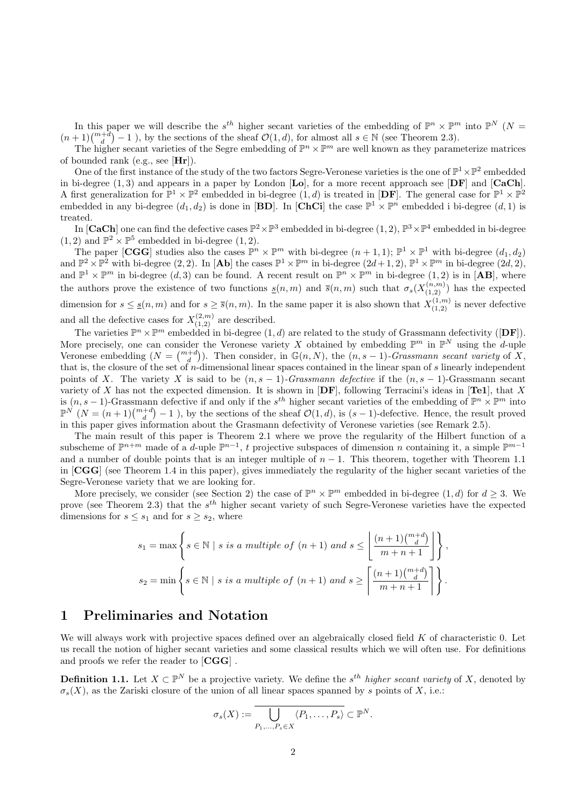In this paper we will describe the  $s^{th}$  higher secant varieties of the embedding of  $\mathbb{P}^n \times \mathbb{P}^m$  into  $\mathbb{P}^N$  ( $N =$  $(n+1)\binom{m+d}{d}-1$ , by the sections of the sheaf  $\mathcal{O}(1,d)$ , for almost all  $s \in \mathbb{N}$  (see Theorem 2.3).

The higher secant varieties of the Segre embedding of  $\mathbb{P}^n \times \mathbb{P}^m$  are well known as they parameterize matrices of bounded rank (e.g., see  $[Hr]$ ).

One of the first instance of the study of the two factors Segre-Veronese varieties is the one of  $\mathbb{P}^1 \times \mathbb{P}^2$  embedded in bi-degree  $(1, 3)$  and appears in a paper by London [Lo], for a more recent approach see [DF] and [CaCh]. A first generalization for  $\mathbb{P}^1 \times \mathbb{P}^2$  embedded in bi-degree  $(1, d)$  is treated in  $[D\mathbf{F}]$ . The general case for  $\mathbb{P}^1 \times \mathbb{P}^2$ embedded in any bi-degree  $(d_1, d_2)$  is done in [BD]. In [ChCi] the case  $\mathbb{P}^1 \times \mathbb{P}^n$  embedded i bi-degree  $(d, 1)$  is treated.

In [CaCh] one can find the defective cases  $\mathbb{P}^2 \times \mathbb{P}^3$  embedded in bi-degree  $(1, 2)$ ,  $\mathbb{P}^3 \times \mathbb{P}^4$  embedded in bi-degree  $(1, 2)$  and  $\mathbb{P}^2 \times \mathbb{P}^5$  embedded in bi-degree  $(1, 2)$ .

The paper [CGG] studies also the cases  $\mathbb{P}^n \times \mathbb{P}^m$  with bi-degree  $(n+1,1)$ ;  $\mathbb{P}^1 \times \mathbb{P}^1$  with bi-degree  $(d_1, d_2)$ and  $\mathbb{P}^2 \times \mathbb{P}^2$  with bi-degree  $(2, 2)$ . In  $[{\bf Ab}]$  the cases  $\mathbb{P}^1 \times \mathbb{P}^m$  in bi-degree  $(2d+1, 2)$ ,  $\mathbb{P}^1 \times \mathbb{P}^m$  in bi-degree  $(2d, 2)$ , and  $\mathbb{P}^1 \times \mathbb{P}^m$  in bi-degree  $(d,3)$  can be found. A recent result on  $\mathbb{P}^n \times \mathbb{P}^m$  in bi-degree  $(1,2)$  is in  $[AB]$ , where the authors prove the existence of two functions  $\underline{s}(n,m)$  and  $\overline{s}(n,m)$  such that  $\sigma_s(X_{(1,2)}^{(n,m)})$  has the expected dimension for  $s \leq \underline{s}(n,m)$  and for  $s \geq \overline{s}(n,m)$ . In the same paper it is also shown that  $X_{(1,2)}^{(1,m)}$  is never defective and all the defective cases for  $X_{(1,2)}^{(2,m)}$  are described.

The varieties  $\mathbb{P}^n \times \mathbb{P}^m$  embedded in bi-degree  $(1, d)$  are related to the study of Grassmann defectivity ([DF]). More precisely, one can consider the Veronese variety X obtained by embedding  $\mathbb{P}^m$  in  $\mathbb{P}^N$  using the d-uple Veronese embedding  $(N = \binom{m+d}{d})$ . Then consider, in  $\mathbb{G}(n, N)$ , the  $(n, s - 1)$ -Grassmann secant variety of X, that is, the closure of the set of  $n$ -dimensional linear spaces contained in the linear span of  $s$  linearly independent points of X. The variety X is said to be  $(n, s - 1)$ -Grassmann defective if the  $(n, s - 1)$ -Grassmann secant variety of X has not the expected dimension. It is shown in  $[DF]$ , following Terracini's ideas in  $[Te1]$ , that X is  $(n, s-1)$ -Grassmann defective if and only if the  $s^{th}$  higher secant varieties of the embedding of  $\mathbb{P}^n \times \mathbb{P}^m$  into  $\mathbb{P}^N(N=(n+1)\binom{m+d}{d}-1$ , by the sections of the sheaf  $\mathcal{O}(1,d)$ , is  $(s-1)$ -defective. Hence, the result proved in this paper gives information about the Grasmann defectivity of Veronese varieties (see Remark 2.5).

The main result of this paper is Theorem 2.1 where we prove the regularity of the Hilbert function of a subscheme of  $\mathbb{P}^{n+m}$  made of a *d*-uple  $\mathbb{P}^{n-1}$ , *t* projective subspaces of dimension *n* containing it, a simple  $\mathbb{P}^{m-1}$ and a number of double points that is an integer multiple of  $n-1$ . This theorem, together with Theorem 1.1 in [CGG] (see Theorem 1.4 in this paper), gives immediately the regularity of the higher secant varieties of the Segre-Veronese variety that we are looking for.

More precisely, we consider (see Section 2) the case of  $\mathbb{P}^n \times \mathbb{P}^m$  embedded in bi-degree  $(1, d)$  for  $d \geq 3$ . We prove (see Theorem 2.3) that the  $s^{th}$  higher secant variety of such Segre-Veronese varieties have the expected dimensions for  $s \leq s_1$  and for  $s \geq s_2$ , where

$$
s_1 = \max \left\{ s \in \mathbb{N} \mid s \text{ is a multiple of } (n+1) \text{ and } s \le \left\lfloor \frac{(n+1)\binom{m+d}{d}}{m+n+1} \right\rfloor \right\},
$$
  

$$
s_2 = \min \left\{ s \in \mathbb{N} \mid s \text{ is a multiple of } (n+1) \text{ and } s \ge \left\lceil \frac{(n+1)\binom{m+d}{d}}{m+n+1} \right\rceil \right\}.
$$

#### 1 Preliminaries and Notation

We will always work with projective spaces defined over an algebraically closed field  $K$  of characteristic 0. Let us recall the notion of higher secant varieties and some classical results which we will often use. For definitions and proofs we refer the reader to [CGG] .

**Definition 1.1.** Let  $X \subset \mathbb{P}^N$  be a projective variety. We define the s<sup>th</sup> higher secant variety of X, denoted by  $\sigma_s(X)$ , as the Zariski closure of the union of all linear spaces spanned by s points of X, i.e.:

$$
\sigma_s(X) := \overline{\bigcup_{P_1,\ldots,P_s \in X} \langle P_1,\ldots,P_s \rangle} \subset \mathbb{P}^N.
$$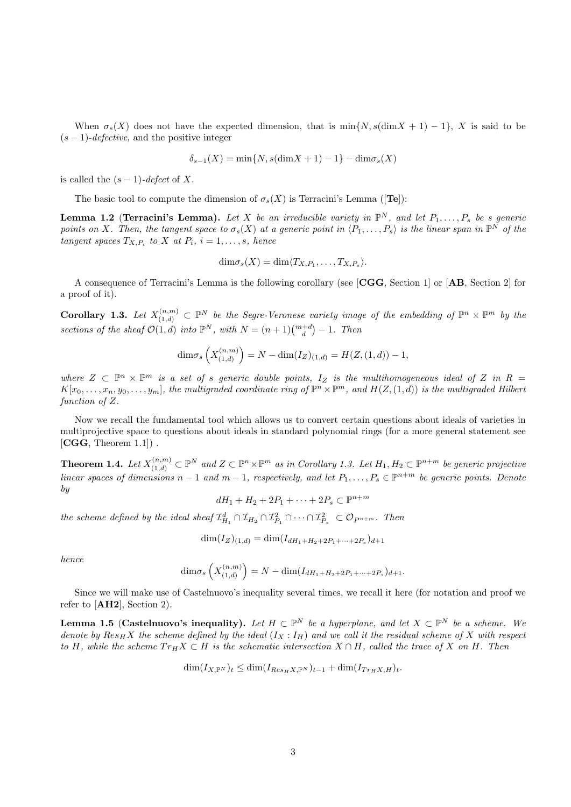When  $\sigma_s(X)$  does not have the expected dimension, that is min{N, s(dim X + 1) – 1}, X is said to be  $(s - 1)$ -defective, and the positive integer

$$
\delta_{s-1}(X) = \min\{N, s(\dim X + 1) - 1\} - \dim \sigma_s(X)
$$

is called the  $(s-1)$ -defect of X.

The basic tool to compute the dimension of  $\sigma_s(X)$  is Terracini's Lemma ([Te]):

**Lemma 1.2 (Terracini's Lemma).** Let X be an irreducible variety in  $\mathbb{P}^N$ , and let  $P_1, \ldots, P_s$  be s generic points on X. Then, the tangent space to  $\sigma_s(X)$  at a generic point in  $\langle P_1,\ldots,P_s\rangle$  is the linear span in  $\mathbb{P}^N$  of the tangent spaces  $T_{X,P_i}$  to X at  $P_i$ ,  $i = 1, \ldots, s$ , hence

$$
\dim \sigma_s(X) = \dim \langle T_{X,P_1}, \ldots, T_{X,P_s} \rangle.
$$

A consequence of Terracini's Lemma is the following corollary (see [CGG, Section 1] or [AB, Section 2] for a proof of it).

**Corollary 1.3.** Let  $X_{(1,d)}^{(n,m)} \subset \mathbb{P}^N$  be the Segre-Veronese variety image of the embedding of  $\mathbb{P}^n \times \mathbb{P}^m$  by the sections of the sheaf  $\mathcal{O}(1,d)$  into  $\mathbb{P}^N$ , with  $N = (n+1)\binom{m+d}{d} - 1$ . Then

$$
\dim \sigma_s\left(X_{(1,d)}^{(n,m)}\right) = N - \dim(I_Z)_{(1,d)} = H(Z,(1,d)) - 1,
$$

where  $Z \subset \mathbb{P}^n \times \mathbb{P}^m$  is a set of s generic double points,  $I_Z$  is the multihomogeneous ideal of Z in R =  $K[x_0,\ldots,x_n,y_0,\ldots,y_m]$ , the multigraded coordinate ring of  $\mathbb{P}^n\times\mathbb{P}^m$ , and  $H(Z,(1,d))$  is the multigraded Hilbert function of Z.

Now we recall the fundamental tool which allows us to convert certain questions about ideals of varieties in multiprojective space to questions about ideals in standard polynomial rings (for a more general statement see  $[CGG, Theorem 1.1]$ .

**Theorem 1.4.** Let  $X_{(1,d)}^{(n,m)} \subset \mathbb{P}^N$  and  $Z \subset \mathbb{P}^n \times \mathbb{P}^m$  as in Corollary 1.3. Let  $H_1, H_2 \subset \mathbb{P}^{n+m}$  be generic projective linear spaces of dimensions  $n-1$  and  $m-1$ , respectively, and let  $P_1,\ldots,P_s\in\mathbb{P}^{n+m}$  be generic points. Denote by

$$
dH_1 + H_2 + 2P_1 + \dots + 2P_s \subset \mathbb{P}^{n+m}
$$

the scheme defined by the ideal sheaf  $\mathcal{I}_{H_1}^d \cap \mathcal{I}_{H_2} \cap \mathcal{I}_{P_1}^2 \cap \cdots \cap \mathcal{I}_{P_s}^2 \subset \mathcal{O}_{P^{n+m}}$ . Then

 $\dim(I_Z)_{(1,d)} = \dim(I_{dH_1+H_2+2P_1+\cdots+2P_s})_{d+1}$ 

hence

$$
\dim \sigma_s \left( X^{(n,m)}_{(1,d)} \right) = N - \dim (I_{dH_1 + H_2 + 2P_1 + \dots + 2P_s})_{d+1}.
$$

Since we will make use of Castelnuovo's inequality several times, we recall it here (for notation and proof we refer to  $[**AH2**],$  Section 2).

**Lemma 1.5 (Castelnuovo's inequality).** Let  $H \subset \mathbb{P}^N$  be a hyperplane, and let  $X \subset \mathbb{P}^N$  be a scheme. We denote by  $Res_H X$  the scheme defined by the ideal  $(I_X : I_H)$  and we call it the residual scheme of X with respect to H, while the scheme  $Tr_H X \subset H$  is the schematic intersection  $X \cap H$ , called the trace of X on H. Then

$$
\dim(I_{X,\mathbb{P}^N})_t \le \dim(I_{Res_H X,\mathbb{P}^N})_{t-1} + \dim(I_{Tr_H X,H})_t.
$$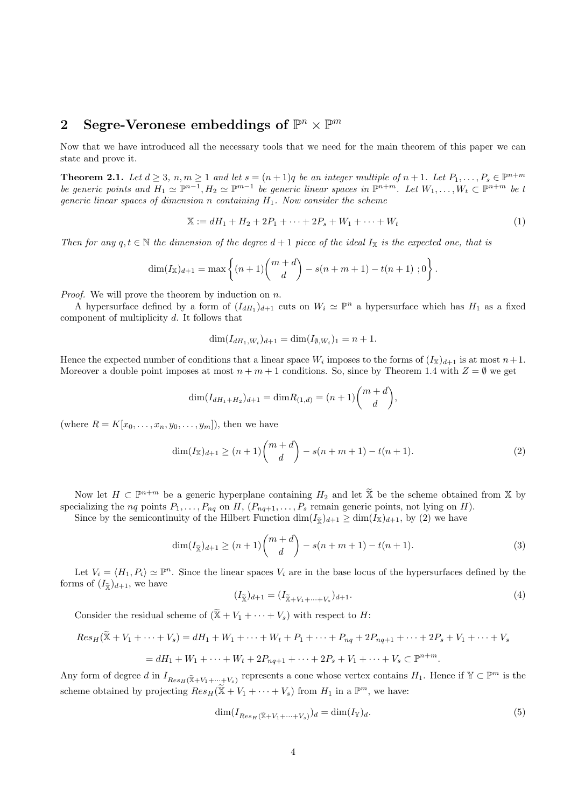## 2 Segre-Veronese embeddings of  $\mathbb{P}^n \times \mathbb{P}^m$

Now that we have introduced all the necessary tools that we need for the main theorem of this paper we can state and prove it.

**Theorem 2.1.** Let  $d \geq 3$ ,  $n, m \geq 1$  and let  $s = (n+1)q$  be an integer multiple of  $n+1$ . Let  $P_1, \ldots, P_s \in \mathbb{P}^{n+m}$ be generic points and  $H_1 \simeq \mathbb{P}^{n-1}$ ,  $H_2 \simeq \mathbb{P}^{m-1}$  be generic linear spaces in  $\mathbb{P}^{n+m}$ . Let  $W_1, \ldots, W_t \subset \mathbb{P}^{n+m}$  be t generic linear spaces of dimension n containing  $H_1$ . Now consider the scheme

$$
\mathbb{X} := dH_1 + H_2 + 2P_1 + \dots + 2P_s + W_1 + \dots + W_t \tag{1}
$$

Then for any  $q, t \in \mathbb{N}$  the dimension of the degree  $d+1$  piece of the ideal  $I_{\mathbb{X}}$  is the expected one, that is

$$
\dim(I_{\mathbb{X}})_{d+1} = \max \left\{ (n+1) {m+d \choose d} - s(n+m+1) - t(n+1) \; ; 0 \right\}.
$$

*Proof.* We will prove the theorem by induction on n.

A hypersurface defined by a form of  $(I_{dH_1})_{d+1}$  cuts on  $W_i \simeq \mathbb{P}^n$  a hypersurface which has  $H_1$  as a fixed component of multiplicity d. It follows that

$$
\dim(I_{dH_1,W_i})_{d+1} = \dim(I_{\emptyset,W_i})_1 = n+1.
$$

Hence the expected number of conditions that a linear space  $W_i$  imposes to the forms of  $(I_{\mathbb{X}})_{d+1}$  is at most  $n+1$ . Moreover a double point imposes at most  $n + m + 1$  conditions. So, since by Theorem 1.4 with  $Z = \emptyset$  we get

$$
\dim(I_{dH_1+H_2})_{d+1} = \dim R_{(1,d)} = (n+1) \binom{m+d}{d},
$$

(where  $R = K[x_0, ..., x_n, y_0, ..., y_m]$ ), then we have

$$
\dim(I_{\mathbb{X}})_{d+1} \ge (n+1) \binom{m+d}{d} - s(n+m+1) - t(n+1). \tag{2}
$$

Now let  $H \subset \mathbb{P}^{n+m}$  be a generic hyperplane containing  $H_2$  and let  $\widetilde{X}$  be the scheme obtained from X by specializing the *nq* points  $P_1, \ldots, P_{nq}$  on  $H$ ,  $(P_{nq+1}, \ldots, P_s$  remain generic points, not lying on  $H$ ).

Since by the semicontinuity of the Hilbert Function  $\dim(I_{\tilde{\chi}})_{d+1} \geq \dim(I_{\tilde{\chi}})_{d+1}$ , by (2) we have

$$
\dim(I_{\tilde{X}})_{d+1} \ge (n+1) \binom{m+d}{d} - s(n+m+1) - t(n+1). \tag{3}
$$

Let  $V_i = \langle H_1, P_i \rangle \simeq \mathbb{P}^n$ . Since the linear spaces  $V_i$  are in the base locus of the hypersurfaces defined by the forms of  $(I_{\widetilde{\mathbf{x}}})_{d+1}$ , we have

$$
(I_{\widetilde{X}})_{d+1} = (I_{\widetilde{X} + V_1 + \dots + V_s})_{d+1}.
$$
\n(4)

Consider the residual scheme of  $(\widetilde{X}+V_1+\cdots+V_s)$  with respect to H:

$$
Res_H(\widetilde{X} + V_1 + \dots + V_s) = dH_1 + W_1 + \dots + W_t + P_1 + \dots + P_{nq} + 2P_{nq+1} + \dots + 2P_s + V_1 + \dots + V_s
$$
  
=  $dH_1 + W_1 + \dots + W_t + 2P_{nq+1} + \dots + 2P_s + V_1 + \dots + V_s \subset \mathbb{P}^{n+m}$ .

Any form of degree d in  $I_{Res_H(\widetilde{\mathbb{X}}+V_1+\cdots+V_s)}$  represents a cone whose vertex contains  $H_1$ . Hence if  $\mathbb{Y} \subset \mathbb{P}^m$  is the scheme obtained by projecting  $Res_H(\widetilde{X}+V_1+\cdots+V_s)$  from  $H_1$  in a  $\mathbb{P}^m$ , we have:

$$
\dim(I_{Res_H(\widetilde{X}+V_1+\cdots+V_s)})_d = \dim(I_{\mathbb{Y}})_d. \tag{5}
$$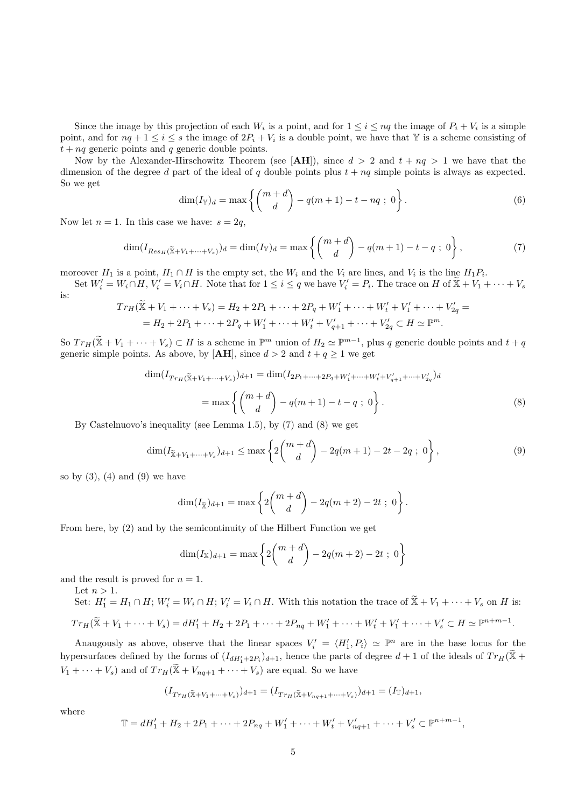Since the image by this projection of each  $W_i$  is a point, and for  $1 \leq i \leq nq$  the image of  $P_i + V_i$  is a simple point, and for  $nq + 1 \le i \le s$  the image of  $2P_i + V_i$  is a double point, we have that Y is a scheme consisting of  $t + nq$  generic points and q generic double points.

Now by the Alexander-Hirschowitz Theorem (see [AH]), since  $d > 2$  and  $t + nq > 1$  we have that the dimension of the degree d part of the ideal of q double points plus  $t + nq$  simple points is always as expected. So we get

$$
\dim(I_{\mathbb{Y}})_{d} = \max\left\{ \binom{m+d}{d} - q(m+1) - t - nq \; ; \; 0 \right\}.
$$
 (6)

Now let  $n = 1$ . In this case we have:  $s = 2q$ ,

$$
\dim(I_{Res_H(\tilde{\mathbb{X}}+V_1+\cdots+V_s)})_d = \dim(I_{\mathbb{Y}})_d = \max\left\{ \binom{m+d}{d} - q(m+1) - t - q \; ; \; 0 \right\},\tag{7}
$$

moreover  $H_1$  is a point,  $H_1 \cap H$  is the empty set, the  $W_i$  and the  $V_i$  are lines, and  $V_i$  is the line  $H_1P_i$ .

Set  $W_i' = W_i \cap H$ ,  $V_i' = V_i \cap H$ . Note that for  $1 \leq i \leq q$  we have  $V_i' = P_i$ . The trace on  $H$  of  $\widetilde{X} + V_1 + \cdots + V_s$ is:

$$
Tr_H(\widetilde{X} + V_1 + \dots + V_s) = H_2 + 2P_1 + \dots + 2P_q + W'_1 + \dots + W'_t + V'_1 + \dots + V'_{2q} =
$$
  
= H\_2 + 2P\_1 + \dots + 2P\_q + W'\_1 + \dots + W'\_t + V'\_{q+1} + \dots + V'\_{2q} \subset H \simeq \mathbb{P}^m.

So  $Tr_H(\widetilde{X}+V_1+\cdots+V_s) \subset H$  is a scheme in  $\mathbb{P}^m$  union of  $H_2 \simeq \mathbb{P}^{m-1}$ , plus q generic double points and  $t+q$ generic simple points. As above, by [**AH**], since  $d > 2$  and  $t + q \ge 1$  we get

$$
\dim(I_{Tr_H(\widetilde{\mathbb{X}}+V_1+\cdots+V_s)})_{d+1} = \dim(I_{2P_1+\cdots+2P_q+W'_1+\cdots+W'_t+V'_{q+1}+\cdots+V'_{2q}})_{d}
$$
\n
$$
= \max\left\{ \binom{m+d}{d} - q(m+1) - t - q \; ; \; 0 \right\}.
$$
\n(8)

By Castelnuovo's inequality (see Lemma 1.5), by (7) and (8) we get

$$
\dim(I_{\tilde{X}+V_1+\dots+V_s})_{d+1} \le \max\left\{2\binom{m+d}{d} - 2q(m+1) - 2t - 2q \; ; \; 0\right\},\tag{9}
$$

so by  $(3)$ ,  $(4)$  and  $(9)$  we have

$$
\dim(I_{\widetilde{\mathbb{X}}})_{d+1} = \max \left\{ 2\binom{m+d}{d} - 2q(m+2) - 2t \; ; \; 0 \right\}.
$$

From here, by (2) and by the semicontinuity of the Hilbert Function we get

$$
\dim(I_{\mathbb{X}})_{d+1} = \max\left\{2\binom{m+d}{d} - 2q(m+2) - 2t \; ; \; 0\right\}
$$

and the result is proved for  $n = 1$ .

Let  $n > 1$ .

Set:  $H'_1 = H_1 \cap H$ ;  $W'_i = W_i \cap H$ ;  $V'_i = V_i \cap H$ . With this notation the trace of  $\widetilde{X} + V_1 + \cdots + V_s$  on H is:  $Tr_H(\widetilde{X}+V_1+\cdots+V_s)=dH'_1+H_2+2P_1+\cdots+2P_{nq}+W'_1+\cdots+W'_t+V'_1+\cdots+V'_s\subset H\simeq\mathbb{P}^{n+m-1}.$ 

Anaugously as above, observe that the linear spaces  $V_i' = \langle H_1', P_i \rangle \simeq \mathbb{P}^n$  are in the base locus for the hypersurfaces defined by the forms of  $(I_{dH'_1+2P_i})_{d+1}$ , hence the parts of degree  $d+1$  of the ideals of  $Tr_H(\tilde{\mathbb{X}} + \tilde{\mathbb{X}})$  $V_1 + \cdots + V_s$  and of  $Tr_H(\widetilde{X} + V_{nq+1} + \cdots + V_s)$  are equal. So we have

$$
(I_{Tr_H(\widetilde{\mathbb{X}}+V_1+\cdots+V_s)})_{d+1} = (I_{Tr_H(\widetilde{\mathbb{X}}+V_{nq+1}+\cdots+V_s)})_{d+1} = (I_{\mathbb{T}})_{d+1},
$$

where

$$
\mathbb{T} = dH'_1 + H_2 + 2P_1 + \dots + 2P_{nq} + W'_1 + \dots + W'_t + V'_{nq+1} + \dots + V'_s \subset \mathbb{P}^{n+m-1},
$$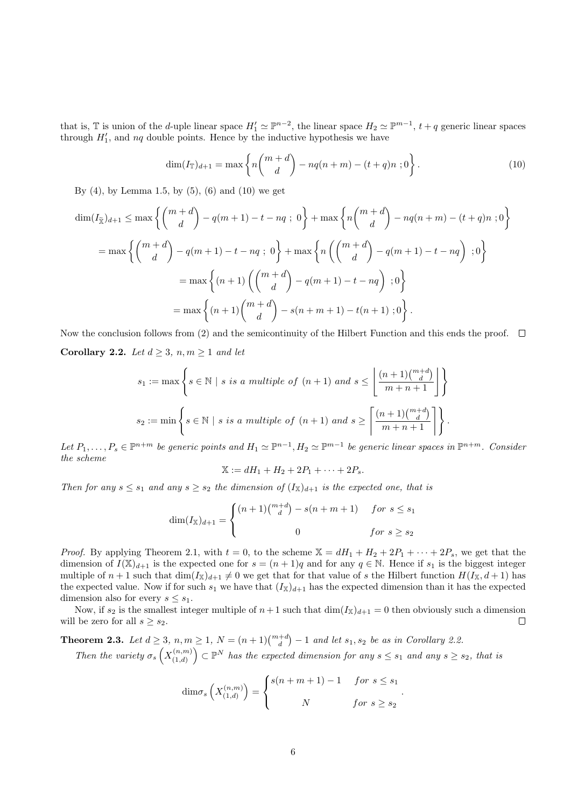that is,  $\mathbb T$  is union of the *d*-uple linear space  $H'_1 \simeq \mathbb P^{n-2}$ , the linear space  $H_2 \simeq \mathbb P^{m-1}$ ,  $t + q$  generic linear spaces through  $H'_1$ , and  $nq$  double points. Hence by the inductive hypothesis we have

$$
\dim(I_{\mathbb{T}})_{d+1} = \max \left\{ n \binom{m+d}{d} - nq(n+m) - (t+q)n \; ; 0 \right\}.
$$
 (10)

By  $(4)$ , by Lemma 1.5, by  $(5)$ ,  $(6)$  and  $(10)$  we get

$$
\dim(I_{\tilde{X}})_{d+1} \leq \max \left\{ \binom{m+d}{d} - q(m+1) - t - nq \; ; \; 0 \right\} + \max \left\{ n \binom{m+d}{d} - nq(n+m) - (t+q)n \; ; 0 \right\}
$$
\n
$$
= \max \left\{ \binom{m+d}{d} - q(m+1) - t - nq \; ; \; 0 \right\} + \max \left\{ n \left( \binom{m+d}{d} - q(m+1) - t - nq \right) \; ; 0 \right\}
$$
\n
$$
= \max \left\{ (n+1) \left( \binom{m+d}{d} - q(m+1) - t - nq \right) \; ; 0 \right\}
$$
\n
$$
= \max \left\{ (n+1) \binom{m+d}{d} - s(n+m+1) - t(n+1) \; ; 0 \right\}.
$$

Now the conclusion follows from (2) and the semicontinuity of the Hilbert Function and this ends the proof.  $\Box$ Corollary 2.2. Let  $d \geq 3$ ,  $n, m \geq 1$  and let

$$
s_1 := \max \left\{ s \in \mathbb{N} \mid s \text{ is a multiple of } (n+1) \text{ and } s \le \left\lfloor \frac{(n+1)\binom{m+d}{d}}{m+n+1} \right\rfloor \right\}
$$

$$
s_2 := \min \left\{ s \in \mathbb{N} \mid s \text{ is a multiple of } (n+1) \text{ and } s \ge \left\lceil \frac{(n+1)\binom{m+d}{d}}{m+n+1} \right\rceil \right\}.
$$

Let  $P_1,\ldots,P_s\in\mathbb{P}^{n+m}$  be generic points and  $H_1\simeq\mathbb{P}^{n-1},H_2\simeq\mathbb{P}^{m-1}$  be generic linear spaces in  $\mathbb{P}^{n+m}$ . Consider the scheme

$$
\mathbb{X} := dH_1 + H_2 + 2P_1 + \dots + 2P_s.
$$

Then for any  $s \leq s_1$  and any  $s \geq s_2$  the dimension of  $(I_{\mathbb{X}})_{d+1}$  is the expected one, that is

$$
\dim(I_{\mathbb{X}})_{d+1} = \begin{cases} (n+1)\binom{m+d}{d} - s(n+m+1) & \text{for } s \le s_1 \\ 0 & \text{for } s \ge s_2 \end{cases}
$$

*Proof.* By applying Theorem 2.1, with  $t = 0$ , to the scheme  $X = dH_1 + H_2 + 2P_1 + \cdots + 2P_s$ , we get that the dimension of  $I(\mathbb{X})_{d+1}$  is the expected one for  $s = (n+1)q$  and for any  $q \in \mathbb{N}$ . Hence if  $s_1$  is the biggest integer multiple of  $n+1$  such that  $\dim(I_{\mathbb{X}})_{d+1}\neq 0$  we get that for that value of s the Hilbert function  $H(I_{\mathbb{X}}, d+1)$  has the expected value. Now if for such  $s_1$  we have that  $(I_{\mathbb{X}})_{d+1}$  has the expected dimension than it has the expected dimension also for every  $s \leq s_1$ .

Now, if  $s_2$  is the smallest integer multiple of  $n+1$  such that  $\dim(I_{\mathbb{X}})_{d+1} = 0$  then obviously such a dimension will be zero for all  $s \geq s_2$ .  $\Box$ 

**Theorem 2.3.** Let  $d \geq 3$ ,  $n, m \geq 1$ ,  $N = (n+1) {m+d \choose d} - 1$  and let  $s_1, s_2$  be as in Corollary 2.2.

Then the variety  $\sigma_s\left(X_{(1,d)}^{(n,m)}\right)$  $\binom{(n,m)}{(1,d)}$   $\subset \mathbb{P}^N$  has the expected dimension for any  $s \leq s_1$  and any  $s \geq s_2$ , that is

$$
\dim \sigma_s\left(X_{(1,d)}^{(n,m)}\right) = \begin{cases} s(n+m+1) - 1 & \text{for } s \le s_1 \\ N & \text{for } s \ge s_2 \end{cases}.
$$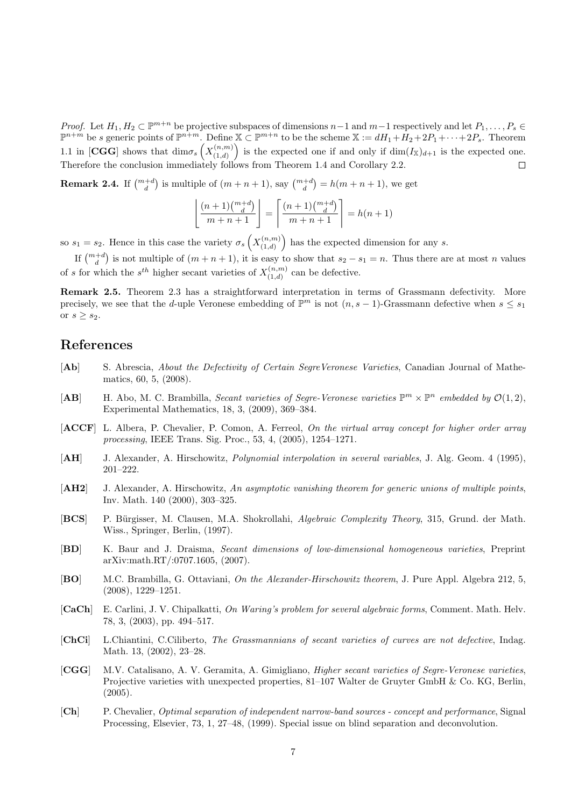*Proof.* Let  $H_1, H_2 \subset \mathbb{P}^{m+n}$  be projective subspaces of dimensions  $n-1$  and  $m-1$  respectively and let  $P_1, \ldots, P_s \in$  $\mathbb{P}^{n+m}$  be s generic points of  $\mathbb{P}^{n+m}$ . Define  $\mathbb{X} \subset \mathbb{P}^{m+n}$  to be the scheme  $\mathbb{X} := dH_1 + H_2 + 2P_1 + \cdots + 2P_s$ . Theorem 1.1 in [CGG] shows that  $\dim \sigma_s\left(X_{(1,d)}^{(n,m)}\right)$  $\binom{(n,m)}{(1,d)}$  is the expected one if and only if  $\dim(I_{\mathbb{X}})_{d+1}$  is the expected one. Therefore the conclusion immediately follows from Theorem 1.4 and Corollary 2.2.

**Remark 2.4.** If  $\binom{m+d}{d}$  is multiple of  $(m+n+1)$ , say  $\binom{m+d}{d} = h(m+n+1)$ , we get

$$
\left\lfloor \frac{(n+1)\binom{m+d}{d}}{m+n+1} \right\rfloor = \left\lceil \frac{(n+1)\binom{m+d}{d}}{m+n+1} \right\rceil = h(n+1)
$$

so  $s_1 = s_2$ . Hence in this case the variety  $\sigma_s\left(X_{(1,d)}^{(n,m)}\right)$  $\binom{(n,m)}{(1,d)}$  has the expected dimension for any s.

If  $\binom{m+d}{d}$  is not multiple of  $(m+n+1)$ , it is easy to show that  $s_2 - s_1 = n$ . Thus there are at most n values of s for which the  $s^{th}$  higher secant varieties of  $X_{(1,d)}^{(n,m)}$  $\binom{(n,m)}{(1,d)}$  can be defective.

Remark 2.5. Theorem 2.3 has a straightforward interpretation in terms of Grassmann defectivity. More precisely, we see that the d-uple Veronese embedding of  $\mathbb{P}^m$  is not  $(n, s-1)$ -Grassmann defective when  $s \leq s_1$ or  $s \geq s_2$ .

### References

- [Ab] S. Abrescia, About the Defectivity of Certain SegreVeronese Varieties, Canadian Journal of Mathematics, 60, 5, (2008).
- [AB] H. Abo, M. C. Brambilla, Secant varieties of Segre-Veronese varieties  $\mathbb{P}^m \times \mathbb{P}^n$  embedded by  $\mathcal{O}(1,2)$ , Experimental Mathematics, 18, 3, (2009), 369–384.
- [ACCF] L. Albera, P. Chevalier, P. Comon, A. Ferreol, On the virtual array concept for higher order array processing, IEEE Trans. Sig. Proc., 53, 4, (2005), 1254–1271.
- [AH] J. Alexander, A. Hirschowitz, *Polynomial interpolation in several variables*, J. Alg. Geom. 4 (1995), 201–222.
- [AH2] J. Alexander, A. Hirschowitz, An asymptotic vanishing theorem for generic unions of multiple points, Inv. Math. 140 (2000), 303–325.
- [BCS] P. Bürgisser, M. Clausen, M.A. Shokrollahi, Algebraic Complexity Theory, 315, Grund. der Math. Wiss., Springer, Berlin, (1997).
- [BD] K. Baur and J. Draisma, Secant dimensions of low-dimensional homogeneous varieties, Preprint arXiv:math.RT/:0707.1605, (2007).
- [BO] M.C. Brambilla, G. Ottaviani, On the Alexander-Hirschowitz theorem, J. Pure Appl. Algebra 212, 5, (2008), 1229–1251.
- [CaCh] E. Carlini, J. V. Chipalkatti, On Waring's problem for several algebraic forms, Comment. Math. Helv. 78, 3, (2003), pp. 494–517.
- [ChCi] L.Chiantini, C.Ciliberto, The Grassmannians of secant varieties of curves are not defective, Indag. Math. 13, (2002), 23–28.
- [CGG] M.V. Catalisano, A. V. Geramita, A. Gimigliano, Higher secant varieties of Segre-Veronese varieties, Projective varieties with unexpected properties, 81–107 Walter de Gruyter GmbH & Co. KG, Berlin,  $(2005).$
- [Ch] P. Chevalier, Optimal separation of independent narrow-band sources concept and performance, Signal Processing, Elsevier, 73, 1, 27–48, (1999). Special issue on blind separation and deconvolution.